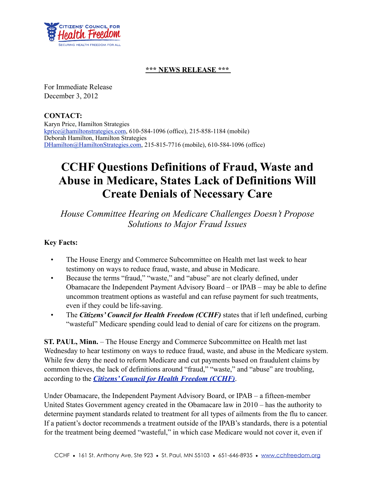

## **\*\*\* NEWS RELEASE \*\*\***

For Immediate Release December 3, 2012

**CONTACT:**  Karyn Price, Hamilton Strategies [kprice@hamiltonstrategies.com,](mailto:kprice@hamiltonstrategies.com) 610-584-1096 (office), 215-858-1184 (mobile) Deborah Hamilton, Hamilton Strategies [DHamilton@HamiltonStrategies.com,](mailto:DHamilton@HamiltonStrategies.com) 215-815-7716 (mobile), 610-584-1096 (office)

## **CCHF Questions Definitions of Fraud, Waste and Abuse in Medicare, States Lack of Definitions Will Create Denials of Necessary Care**

*House Committee Hearing on Medicare Challenges Doesn't Propose Solutions to Major Fraud Issues*

## **Key Facts:**

- The House Energy and Commerce Subcommittee on Health met last week to hear testimony on ways to reduce fraud, waste, and abuse in Medicare.
- Because the terms "fraud," "waste," and "abuse" are not clearly defined, under Obamacare the Independent Payment Advisory Board – or IPAB – may be able to define uncommon treatment options as wasteful and can refuse payment for such treatments, even if they could be life-saving.
- The *Citizens' Council for Health Freedom (CCHF)* states that if left undefined, curbing "wasteful" Medicare spending could lead to denial of care for citizens on the program.

**ST. PAUL, Minn.** – The House Energy and Commerce Subcommittee on Health met last Wednesday to hear testimony on ways to reduce fraud, waste, and abuse in the Medicare system. While few deny the need to reform Medicare and cut payments based on fraudulent claims by common thieves, the lack of definitions around "fraud," "waste," and "abuse" are troubling, according to the *[Citizens' Council for Health Freedom \(CCHF\)](http://HamiltonStrategiesLLC.pr-optout.com/Url.aspx?1328687x3062043x3545509)*.

Under Obamacare, the Independent Payment Advisory Board, or IPAB – a fifteen-member United States Government agency created in the Obamacare law in 2010 – has the authority to determine payment standards related to treatment for all types of ailments from the flu to cancer. If a patient's doctor recommends a treatment outside of the IPAB's standards, there is a potential for the treatment being deemed "wasteful," in which case Medicare would not cover it, even if